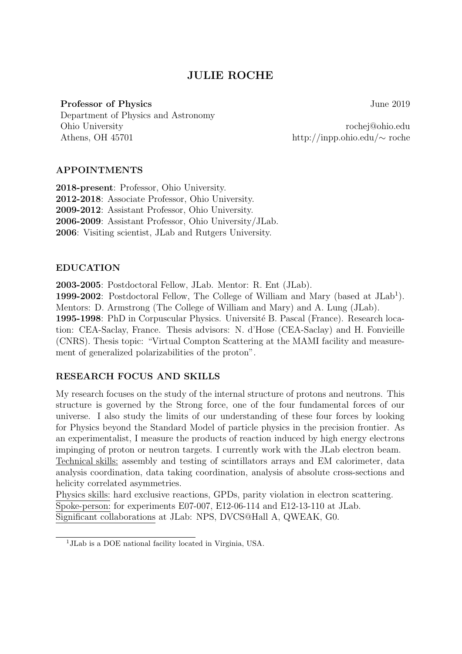# JULIE ROCHE

# Professor of Physics June 2019

Department of Physics and Astronomy Ohio University rochej@ohio.edu Athens, OH 45701 http://inpp.ohio.edu/∼ roche

# APPOINTMENTS

2018-present: Professor, Ohio University. 2012-2018: Associate Professor, Ohio University. 2009-2012: Assistant Professor, Ohio University. 2006-2009: Assistant Professor, Ohio University/JLab. 2006: Visiting scientist, JLab and Rutgers University.

## EDUCATION

2003-2005: Postdoctoral Fellow, JLab. Mentor: R. Ent (JLab).

1999-2002: Postdoctoral Fellow, The College of William and Mary (based at  $JLab<sup>1</sup>$ ). Mentors: D. Armstrong (The College of William and Mary) and A. Lung (JLab).

1995-1998: PhD in Corpuscular Physics. Université B. Pascal (France). Research location: CEA-Saclay, France. Thesis advisors: N. d'Hose (CEA-Saclay) and H. Fonvieille (CNRS). Thesis topic: "Virtual Compton Scattering at the MAMI facility and measurement of generalized polarizabilities of the proton".

# RESEARCH FOCUS AND SKILLS

My research focuses on the study of the internal structure of protons and neutrons. This structure is governed by the Strong force, one of the four fundamental forces of our universe. I also study the limits of our understanding of these four forces by looking for Physics beyond the Standard Model of particle physics in the precision frontier. As an experimentalist, I measure the products of reaction induced by high energy electrons impinging of proton or neutron targets. I currently work with the JLab electron beam. Technical skills: assembly and testing of scintillators arrays and EM calorimeter, data analysis coordination, data taking coordination, analysis of absolute cross-sections and helicity correlated asymmetries.

Physics skills: hard exclusive reactions, GPDs, parity violation in electron scattering. Spoke-person: for experiments E07-007, E12-06-114 and E12-13-110 at JLab. Significant collaborations at JLab: NPS, DVCS@Hall A, QWEAK, G0.

<sup>1</sup>JLab is a DOE national facility located in Virginia, USA.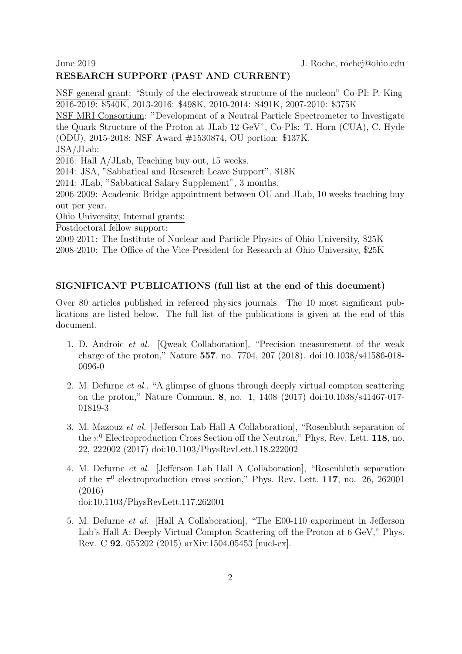# RESEARCH SUPPORT (PAST AND CURRENT)

NSF general grant: "Study of the electroweak structure of the nucleon" Co-PI: P. King 2016-2019: \$540K, 2013-2016: \$498K, 2010-2014: \$491K, 2007-2010: \$375K

NSF MRI Consortium: "Development of a Neutral Particle Spectrometer to Investigate the Quark Structure of the Proton at JLab 12 GeV", Co-PIs: T. Horn (CUA), C. Hyde (ODU), 2015-2018: NSF Award #1530874, OU portion: \$137K.

JSA/JLab:

2016: Hall A/JLab, Teaching buy out, 15 weeks.

2014: JSA, "Sabbatical and Research Leave Support", \$18K

2014: JLab, "Sabbatical Salary Supplement", 3 months.

2006-2009: Academic Bridge appointment between OU and JLab, 10 weeks teaching buy out per year.

Ohio University, Internal grants:

Postdoctoral fellow support:

2009-2011: The Institute of Nuclear and Particle Physics of Ohio University, \$25K 2008-2010: The Office of the Vice-President for Research at Ohio University, \$25K

#### SIGNIFICANT PUBLICATIONS (full list at the end of this document)

Over 80 articles published in refereed physics journals. The 10 most significant publications are listed below. The full list of the publications is given at the end of this document.

- 1. D. Androic et al. [Qweak Collaboration], "Precision measurement of the weak charge of the proton," Nature 557, no. 7704, 207 (2018). doi:10.1038/s41586-018- 0096-0
- 2. M. Defurne et al., "A glimpse of gluons through deeply virtual compton scattering on the proton," Nature Commun. 8, no. 1, 1408 (2017) doi:10.1038/s41467-017- 01819-3
- 3. M. Mazouz et al. [Jefferson Lab Hall A Collaboration], "Rosenbluth separation of the  $\pi^0$  Electroproduction Cross Section off the Neutron," Phys. Rev. Lett. 118, no. 22, 222002 (2017) doi:10.1103/PhysRevLett.118.222002
- 4. M. Defurne et al. [Jefferson Lab Hall A Collaboration], "Rosenbluth separation of the  $\pi^0$  electroproduction cross section," Phys. Rev. Lett. 117, no. 26, 262001 (2016) doi:10.1103/PhysRevLett.117.262001
- 5. M. Defurne et al. [Hall A Collaboration], "The E00-110 experiment in Jefferson Lab's Hall A: Deeply Virtual Compton Scattering off the Proton at 6 GeV," Phys. Rev. C 92, 055202 (2015) arXiv:1504.05453 [nucl-ex].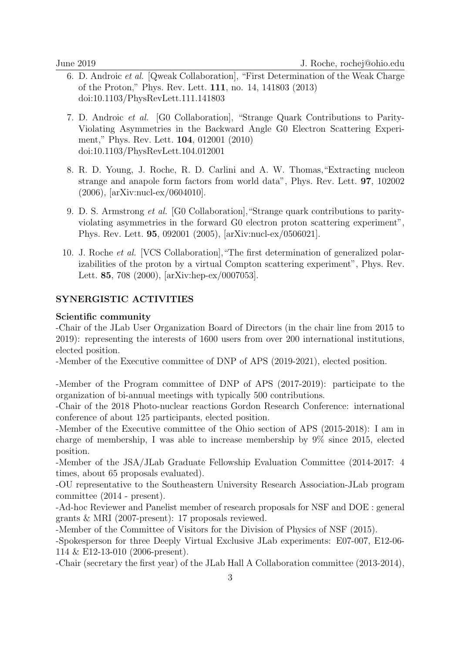- 6. D. Androic et al. [Qweak Collaboration], "First Determination of the Weak Charge of the Proton," Phys. Rev. Lett. 111, no. 14, 141803 (2013) doi:10.1103/PhysRevLett.111.141803
- 7. D. Androic et al. [G0 Collaboration], "Strange Quark Contributions to Parity-Violating Asymmetries in the Backward Angle G0 Electron Scattering Experiment," Phys. Rev. Lett. 104, 012001 (2010) doi:10.1103/PhysRevLett.104.012001
- 8. R. D. Young, J. Roche, R. D. Carlini and A. W. Thomas,"Extracting nucleon strange and anapole form factors from world data", Phys. Rev. Lett. 97, 102002 (2006), [arXiv:nucl-ex/0604010].
- 9. D. S. Armstrong et al. [G0 Collaboration],"Strange quark contributions to parityviolating asymmetries in the forward G0 electron proton scattering experiment", Phys. Rev. Lett. 95, 092001 (2005), [arXiv:nucl-ex/0506021].
- 10. J. Roche et al. [VCS Collaboration],"The first determination of generalized polarizabilities of the proton by a virtual Compton scattering experiment", Phys. Rev. Lett. 85, 708 (2000), [arXiv:hep-ex/0007053].

## SYNERGISTIC ACTIVITIES

#### Scientific community

-Chair of the JLab User Organization Board of Directors (in the chair line from 2015 to 2019): representing the interests of 1600 users from over 200 international institutions, elected position.

-Member of the Executive committee of DNP of APS (2019-2021), elected position.

-Member of the Program committee of DNP of APS (2017-2019): participate to the organization of bi-annual meetings with typically 500 contributions.

-Chair of the 2018 Photo-nuclear reactions Gordon Research Conference: international conference of about 125 participants, elected position.

-Member of the Executive committee of the Ohio section of APS (2015-2018): I am in charge of membership, I was able to increase membership by 9% since 2015, elected position.

-Member of the JSA/JLab Graduate Fellowship Evaluation Committee (2014-2017: 4 times, about 65 proposals evaluated).

-OU representative to the Southeastern University Research Association-JLab program committee (2014 - present).

-Ad-hoc Reviewer and Panelist member of research proposals for NSF and DOE : general grants & MRI (2007-present): 17 proposals reviewed.

-Member of the Committee of Visitors for the Division of Physics of NSF (2015).

-Spokesperson for three Deeply Virtual Exclusive JLab experiments: E07-007, E12-06- 114 & E12-13-010 (2006-present).

-Chair (secretary the first year) of the JLab Hall A Collaboration committee (2013-2014),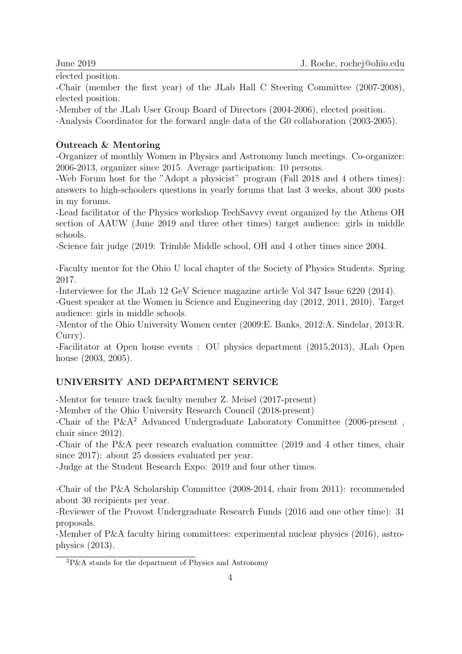elected position.

-Chair (member the first year) of the JLab Hall C Steering Committee (2007-2008), elected position.

-Member of the JLab User Group Board of Directors (2004-2006), elected position.

-Analysis Coordinator for the forward angle data of the G0 collaboration (2003-2005).

# Outreach & Mentoring

-Organizer of monthly Women in Physics and Astronomy lunch meetings. Co-organizer: 2006-2013, organizer since 2015. Average participation: 10 persons.

-Web Forum host for the "Adopt a physicist" program (Fall 2018 and 4 others times): answers to high-schoolers questions in yearly forums that last 3 weeks, about 300 posts in my forums.

-Lead facilitator of the Physics workshop TechSavvy event organized by the Athens OH section of AAUW (June 2019 and three other times) target audience: girls in middle schools.

-Science fair judge (2019: Trimble Middle school, OH and 4 other times since 2004.

-Faculty mentor for the Ohio U local chapter of the Society of Physics Students. Spring 2017.

-Interviewee for the JLab 12 GeV Science magazine article Vol 347 Issue 6220 (2014).

-Guest speaker at the Women in Science and Engineering day (2012, 2011, 2010). Target audience: girls in middle schools.

-Mentor of the Ohio University Women center (2009:E. Banks, 2012:A. Sindelar, 2013:R. Curry).

-Facilitator at Open house events : OU physics department (2015,2013), JLab Open house (2003, 2005).

# UNIVERSITY AND DEPARTMENT SERVICE

-Mentor for tenure track faculty member Z. Meisel (2017-present)

-Member of the Ohio University Research Council (2018-present)

-Chair of the P&A<sup>2</sup> Advanced Undergraduate Laboratory Committee (2006-present , chair since 2012).

-Chair of the P&A peer research evaluation committee (2019 and 4 other times, chair since 2017): about 25 dossiers evaluated per year.

-Judge at the Student Research Expo: 2019 and four other times.

-Chair of the P&A Scholarship Committee (2008-2014, chair from 2011): recommended about 30 recipients per year.

-Reviewer of the Provost Undergraduate Research Funds (2016 and one other time): 31 proposals.

-Member of P&A faculty hiring committees: experimental nuclear physics (2016), astrophysics (2013).

 ${}^{2}P\&A$  stands for the department of Physics and Astronomy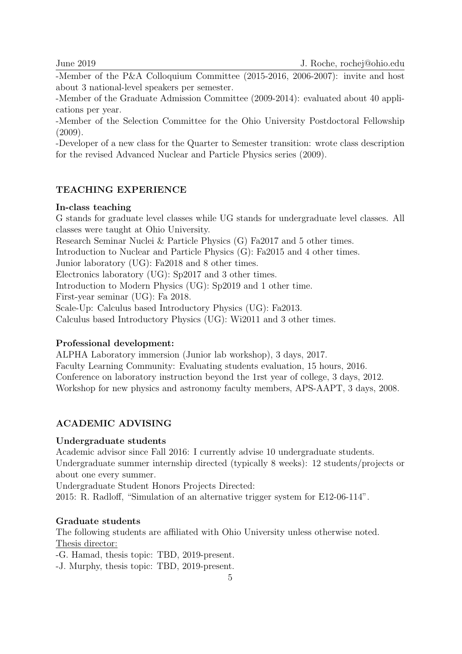-Member of the P&A Colloquium Committee (2015-2016, 2006-2007): invite and host about 3 national-level speakers per semester.

-Member of the Graduate Admission Committee (2009-2014): evaluated about 40 applications per year.

-Member of the Selection Committee for the Ohio University Postdoctoral Fellowship (2009).

-Developer of a new class for the Quarter to Semester transition: wrote class description for the revised Advanced Nuclear and Particle Physics series (2009).

## TEACHING EXPERIENCE

#### In-class teaching

G stands for graduate level classes while UG stands for undergraduate level classes. All classes were taught at Ohio University.

Research Seminar Nuclei & Particle Physics (G) Fa2017 and 5 other times.

Introduction to Nuclear and Particle Physics (G): Fa2015 and 4 other times.

Junior laboratory (UG): Fa2018 and 8 other times.

Electronics laboratory (UG): Sp2017 and 3 other times.

Introduction to Modern Physics (UG): Sp2019 and 1 other time.

First-year seminar (UG): Fa 2018.

Scale-Up: Calculus based Introductory Physics (UG): Fa2013.

Calculus based Introductory Physics (UG): Wi2011 and 3 other times.

#### Professional development:

ALPHA Laboratory immersion (Junior lab workshop), 3 days, 2017.

Faculty Learning Community: Evaluating students evaluation, 15 hours, 2016. Conference on laboratory instruction beyond the 1rst year of college, 3 days, 2012.

Workshop for new physics and astronomy faculty members, APS-AAPT, 3 days, 2008.

#### ACADEMIC ADVISING

#### Undergraduate students

Academic advisor since Fall 2016: I currently advise 10 undergraduate students. Undergraduate summer internship directed (typically 8 weeks): 12 students/projects or about one every summer.

Undergraduate Student Honors Projects Directed:

2015: R. Radloff, "Simulation of an alternative trigger system for E12-06-114".

#### Graduate students

The following students are affiliated with Ohio University unless otherwise noted. Thesis director:

-G. Hamad, thesis topic: TBD, 2019-present.

-J. Murphy, thesis topic: TBD, 2019-present.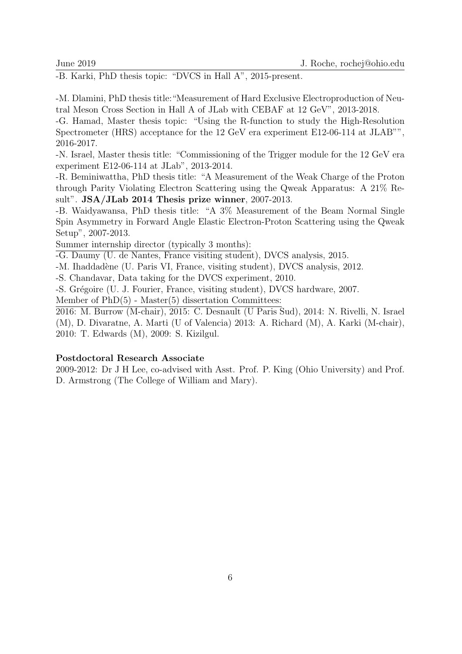-B. Karki, PhD thesis topic: "DVCS in Hall A", 2015-present.

-M. Dlamini, PhD thesis title:"Measurement of Hard Exclusive Electroproduction of Neutral Meson Cross Section in Hall A of JLab with CEBAF at 12 GeV", 2013-2018.

-G. Hamad, Master thesis topic: "Using the R-function to study the High-Resolution Spectrometer (HRS) acceptance for the 12 GeV era experiment E12-06-114 at JLAB"", 2016-2017.

-N. Israel, Master thesis title: "Commissioning of the Trigger module for the 12 GeV era experiment E12-06-114 at JLab", 2013-2014.

-R. Beminiwattha, PhD thesis title: "A Measurement of the Weak Charge of the Proton through Parity Violating Electron Scattering using the Qweak Apparatus: A 21% Result". JSA/JLab 2014 Thesis prize winner, 2007-2013.

-B. Waidyawansa, PhD thesis title: "A 3% Measurement of the Beam Normal Single Spin Asymmetry in Forward Angle Elastic Electron-Proton Scattering using the Qweak Setup", 2007-2013.

Summer internship director (typically 3 months):

-G. Daumy (U. de Nantes, France visiting student), DVCS analysis, 2015.

-M. Ihaddadène (U. Paris VI, France, visiting student), DVCS analysis, 2012.

-S. Chandavar, Data taking for the DVCS experiment, 2010.

-S. Gr´egoire (U. J. Fourier, France, visiting student), DVCS hardware, 2007.

Member of  $PhD(5)$  - Master $(5)$  dissertation Committees:

2016: M. Burrow (M-chair), 2015: C. Desnault (U Paris Sud), 2014: N. Rivelli, N. Israel (M), D. Divaratne, A. Marti (U of Valencia) 2013: A. Richard (M), A. Karki (M-chair), 2010: T. Edwards (M), 2009: S. Kizilgul.

#### Postdoctoral Research Associate

2009-2012: Dr J H Lee, co-advised with Asst. Prof. P. King (Ohio University) and Prof. D. Armstrong (The College of William and Mary).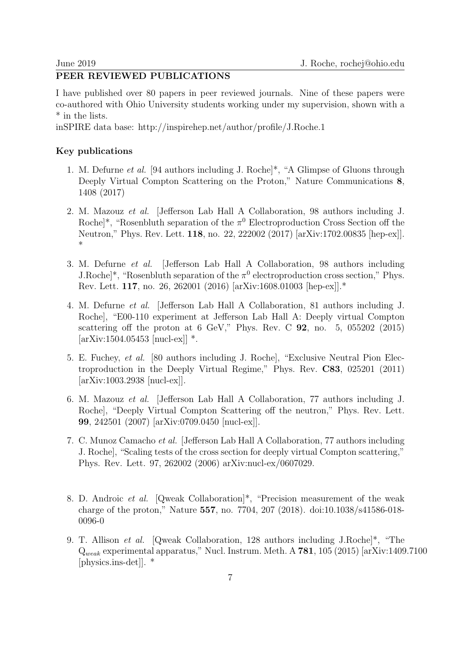# PEER REVIEWED PUBLICATIONS

I have published over 80 papers in peer reviewed journals. Nine of these papers were co-authored with Ohio University students working under my supervision, shown with a \* in the lists.

inSPIRE data base: http://inspirehep.net/author/profile/J.Roche.1

#### Key publications

- 1. M. Defurne et al. [94 authors including J. Roche]\*, "A Glimpse of Gluons through Deeply Virtual Compton Scattering on the Proton," Nature Communications 8, 1408 (2017)
- 2. M. Mazouz et al. [Jefferson Lab Hall A Collaboration, 98 authors including J. Roche]<sup>\*</sup>, "Rosenbluth separation of the  $\pi^0$  Electroproduction Cross Section off the Neutron," Phys. Rev. Lett. 118, no. 22, 222002 (2017) [arXiv:1702.00835 [hep-ex]]. \*
- 3. M. Defurne et al. [Jefferson Lab Hall A Collaboration, 98 authors including J.Roche<sup> $*$ </sup>, "Rosenbluth separation of the  $\pi^0$  electroproduction cross section," Phys. Rev. Lett. 117, no. 26, 262001 (2016) [arXiv:1608.01003 [hep-ex]].\*
- 4. M. Defurne et al. [Jefferson Lab Hall A Collaboration, 81 authors including J. Roche], "E00-110 experiment at Jefferson Lab Hall A: Deeply virtual Compton scattering off the proton at 6 GeV," Phys. Rev. C  $92$ , no. 5, 055202 (2015)  $[\text{arXiv:1504.05453} \; [\text{nucl-ex}]]$  \*.
- 5. E. Fuchey, et al. [80 authors including J. Roche], "Exclusive Neutral Pion Electroproduction in the Deeply Virtual Regime," Phys. Rev. C83, 025201 (2011) [arXiv:1003.2938 [nucl-ex]].
- 6. M. Mazouz et al. [Jefferson Lab Hall A Collaboration, 77 authors including J. Roche], "Deeply Virtual Compton Scattering off the neutron," Phys. Rev. Lett. 99, 242501 (2007) [arXiv:0709.0450 [nucl-ex]].
- 7. C. Munoz Camacho et al. [Jefferson Lab Hall A Collaboration, 77 authors including J. Roche], "Scaling tests of the cross section for deeply virtual Compton scattering," Phys. Rev. Lett. 97, 262002 (2006) arXiv:nucl-ex/0607029.
- 8. D. Androic et al. [Qweak Collaboration]\*, "Precision measurement of the weak charge of the proton," Nature 557, no. 7704, 207 (2018). doi:10.1038/s41586-018- 0096-0
- 9. T. Allison *et al.* [Qweak Collaboration, 128 authors including J.Roche]\*, "The  $Q_{weak}$  experimental apparatus," Nucl. Instrum. Meth. A 781, 105 (2015) [arXiv:1409.7100 [physics.ins-det]]. \*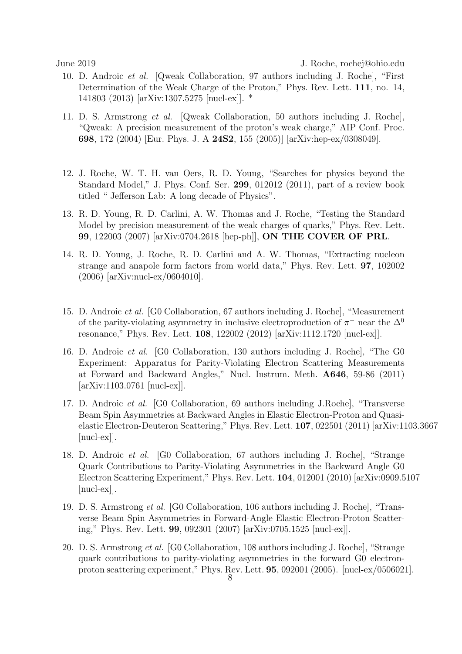- 10. D. Androic et al. [Qweak Collaboration, 97 authors including J. Roche], "First Determination of the Weak Charge of the Proton," Phys. Rev. Lett. 111, no. 14, 141803 (2013) [arXiv:1307.5275 [nucl-ex]]. \*
- 11. D. S. Armstrong et al. [Qweak Collaboration, 50 authors including J. Roche], "Qweak: A precision measurement of the proton's weak charge," AIP Conf. Proc. 698, 172 (2004) [Eur. Phys. J. A 24S2, 155 (2005)] [arXiv:hep-ex/0308049].
- 12. J. Roche, W. T. H. van Oers, R. D. Young, "Searches for physics beyond the Standard Model," J. Phys. Conf. Ser. 299, 012012 (2011), part of a review book titled " Jefferson Lab: A long decade of Physics".
- 13. R. D. Young, R. D. Carlini, A. W. Thomas and J. Roche, "Testing the Standard Model by precision measurement of the weak charges of quarks," Phys. Rev. Lett. 99, 122003 (2007) [arXiv:0704.2618 [hep-ph]], ON THE COVER OF PRL.
- 14. R. D. Young, J. Roche, R. D. Carlini and A. W. Thomas, "Extracting nucleon strange and anapole form factors from world data," Phys. Rev. Lett. 97, 102002 (2006) [arXiv:nucl-ex/0604010].
- 15. D. Androic et al. [G0 Collaboration, 67 authors including J. Roche], "Measurement of the parity-violating asymmetry in inclusive electroproduction of  $\pi^-$  near the  $\Delta^0$ resonance," Phys. Rev. Lett. 108, 122002 (2012) [arXiv:1112.1720 [nucl-ex]].
- 16. D. Androic et al. [G0 Collaboration, 130 authors including J. Roche], "The G0 Experiment: Apparatus for Parity-Violating Electron Scattering Measurements at Forward and Backward Angles," Nucl. Instrum. Meth. A646, 59-86 (2011) [arXiv:1103.0761 [nucl-ex]].
- 17. D. Androic et al. [G0 Collaboration, 69 authors including J.Roche], "Transverse Beam Spin Asymmetries at Backward Angles in Elastic Electron-Proton and Quasielastic Electron-Deuteron Scattering," Phys. Rev. Lett. 107, 022501 (2011) [arXiv:1103.3667 [nucl-ex]].
- 18. D. Androic et al. [G0 Collaboration, 67 authors including J. Roche], "Strange Quark Contributions to Parity-Violating Asymmetries in the Backward Angle G0 Electron Scattering Experiment," Phys. Rev. Lett. 104, 012001 (2010) [arXiv:0909.5107 [nucl-ex]].
- 19. D. S. Armstrong et al. [G0 Collaboration, 106 authors including J. Roche], "Transverse Beam Spin Asymmetries in Forward-Angle Elastic Electron-Proton Scattering," Phys. Rev. Lett. 99, 092301 (2007) [arXiv:0705.1525 [nucl-ex]].
- 20. D. S. Armstrong et al. [G0 Collaboration, 108 authors including J. Roche], "Strange quark contributions to parity-violating asymmetries in the forward G0 electronproton scattering experiment," Phys. Rev. Lett. 95, 092001 (2005). [nucl-ex/0506021].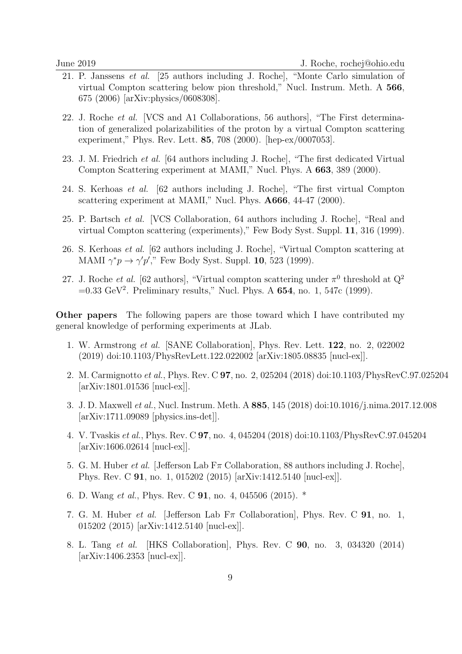- 21. P. Janssens et al. [25 authors including J. Roche], "Monte Carlo simulation of virtual Compton scattering below pion threshold," Nucl. Instrum. Meth. A 566, 675 (2006) [arXiv:physics/0608308].
- 22. J. Roche et al. [VCS and A1 Collaborations, 56 authors], "The First determination of generalized polarizabilities of the proton by a virtual Compton scattering experiment," Phys. Rev. Lett. 85, 708 (2000). [hep-ex/0007053].
- 23. J. M. Friedrich et al. [64 authors including J. Roche], "The first dedicated Virtual Compton Scattering experiment at MAMI," Nucl. Phys. A 663, 389 (2000).
- 24. S. Kerhoas et al. [62 authors including J. Roche], "The first virtual Compton scattering experiment at MAMI," Nucl. Phys. **A666**, 44-47 (2000).
- 25. P. Bartsch et al. [VCS Collaboration, 64 authors including J. Roche], "Real and virtual Compton scattering (experiments)," Few Body Syst. Suppl. 11, 316 (1999).
- 26. S. Kerhoas et al. [62 authors including J. Roche], "Virtual Compton scattering at MAMI  $\gamma^* p \to \gamma' p'$ ," Few Body Syst. Suppl. 10, 523 (1999).
- 27. J. Roche *et al.* [62 authors], "Virtual compton scattering under  $\pi^0$  threshold at  $Q^2$  $=0.33 \text{ GeV}^2$ . Preliminary results," Nucl. Phys. A 654, no. 1, 547c (1999).

Other papers The following papers are those toward which I have contributed my general knowledge of performing experiments at JLab.

- 1. W. Armstrong et al. [SANE Collaboration], Phys. Rev. Lett. 122, no. 2, 022002 (2019) doi:10.1103/PhysRevLett.122.022002 [arXiv:1805.08835 [nucl-ex]].
- 2. M. Carmignotto et al., Phys. Rev. C 97, no. 2, 025204 (2018) doi:10.1103/PhysRevC.97.025204 [arXiv:1801.01536 [nucl-ex]].
- 3. J. D. Maxwell et al., Nucl. Instrum. Meth. A 885, 145 (2018) doi:10.1016/j.nima.2017.12.008 [arXiv:1711.09089 [physics.ins-det]].
- 4. V. Tvaskis et al., Phys. Rev. C 97, no. 4, 045204 (2018) doi:10.1103/PhysRevC.97.045204 [arXiv:1606.02614 [nucl-ex]].
- 5. G. M. Huber *et al.* [Jefferson Lab  $F\pi$  Collaboration, 88 authors including J. Roche], Phys. Rev. C 91, no. 1, 015202 (2015) [arXiv:1412.5140 [nucl-ex]].
- 6. D. Wang et al., Phys. Rev. C 91, no. 4, 045506 (2015). \*
- 7. G. M. Huber et al. [Jefferson Lab  $F_{\pi}$  Collaboration], Phys. Rev. C **91**, no. 1, 015202 (2015) [arXiv:1412.5140 [nucl-ex]].
- 8. L. Tang et al. [HKS Collaboration], Phys. Rev. C 90, no. 3, 034320 (2014) [arXiv:1406.2353 [nucl-ex]].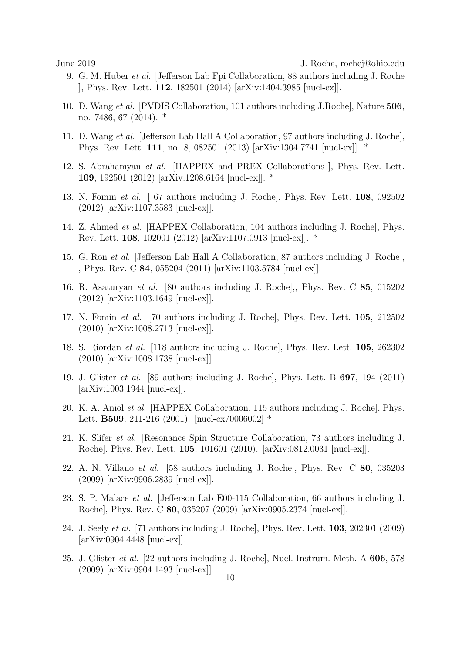- 9. G. M. Huber et al. [Jefferson Lab Fpi Collaboration, 88 authors including J. Roche ], Phys. Rev. Lett. 112, 182501 (2014) [arXiv:1404.3985 [nucl-ex]].
- 10. D. Wang et al. [PVDIS Collaboration, 101 authors including J.Roche], Nature 506, no. 7486, 67 (2014). \*
- 11. D. Wang et al. [Jefferson Lab Hall A Collaboration, 97 authors including J. Roche], Phys. Rev. Lett. 111, no. 8, 082501 (2013) [arXiv:1304.7741 [nucl-ex]]. \*
- 12. S. Abrahamyan et al. [HAPPEX and PREX Collaborations ], Phys. Rev. Lett. 109, 192501 (2012) [arXiv:1208.6164 [nucl-ex]]. \*
- 13. N. Fomin et al. [ 67 authors including J. Roche], Phys. Rev. Lett. 108, 092502 (2012) [arXiv:1107.3583 [nucl-ex]].
- 14. Z. Ahmed et al. [HAPPEX Collaboration, 104 authors including J. Roche], Phys. Rev. Lett. 108, 102001 (2012) [arXiv:1107.0913 [nucl-ex]]. \*
- 15. G. Ron et al. [Jefferson Lab Hall A Collaboration, 87 authors including J. Roche], , Phys. Rev. C 84, 055204 (2011) [arXiv:1103.5784 [nucl-ex]].
- 16. R. Asaturyan et al. [80 authors including J. Roche],, Phys. Rev. C 85, 015202 (2012) [arXiv:1103.1649 [nucl-ex]].
- 17. N. Fomin et al. [70 authors including J. Roche], Phys. Rev. Lett. 105, 212502 (2010) [arXiv:1008.2713 [nucl-ex]].
- 18. S. Riordan et al. [118 authors including J. Roche], Phys. Rev. Lett. 105, 262302 (2010) [arXiv:1008.1738 [nucl-ex]].
- 19. J. Glister et al. [89 authors including J. Roche], Phys. Lett. B 697, 194 (2011) [arXiv:1003.1944 [nucl-ex]].
- 20. K. A. Aniol et al. [HAPPEX Collaboration, 115 authors including J. Roche], Phys. Lett. **B509**, 211-216 (2001). [nucl-ex/0006002]  $*$
- 21. K. Slifer et al. [Resonance Spin Structure Collaboration, 73 authors including J. Roche], Phys. Rev. Lett. 105, 101601 (2010). [arXiv:0812.0031 [nucl-ex]].
- 22. A. N. Villano et al. [58 authors including J. Roche], Phys. Rev. C 80, 035203 (2009) [arXiv:0906.2839 [nucl-ex]].
- 23. S. P. Malace et al. [Jefferson Lab E00-115 Collaboration, 66 authors including J. Roche], Phys. Rev. C 80, 035207 (2009) [arXiv:0905.2374 [nucl-ex]].
- 24. J. Seely et al. [71 authors including J. Roche], Phys. Rev. Lett. 103, 202301 (2009) [arXiv:0904.4448 [nucl-ex]].
- 25. J. Glister et al. [22 authors including J. Roche], Nucl. Instrum. Meth. A 606, 578 (2009) [arXiv:0904.1493 [nucl-ex]].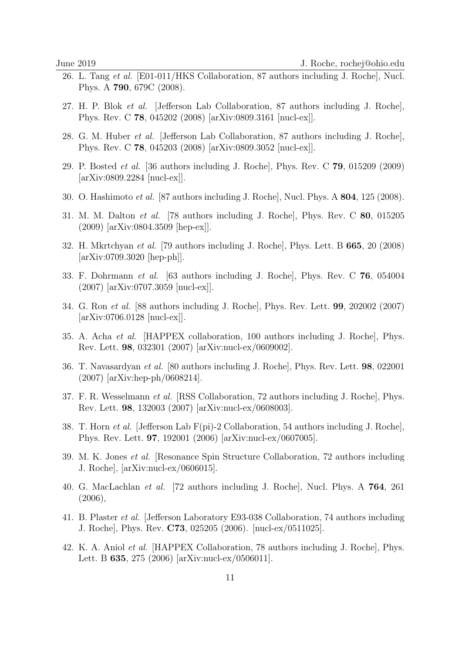- 26. L. Tang et al. [E01-011/HKS Collaboration, 87 authors including J. Roche], Nucl. Phys. A 790, 679C (2008).
- 27. H. P. Blok et al. [Jefferson Lab Collaboration, 87 authors including J. Roche], Phys. Rev. C 78, 045202 (2008) [arXiv:0809.3161 [nucl-ex]].
- 28. G. M. Huber et al. [Jefferson Lab Collaboration, 87 authors including J. Roche], Phys. Rev. C 78, 045203 (2008) [arXiv:0809.3052 [nucl-ex]].
- 29. P. Bosted et al. [36 authors including J. Roche], Phys. Rev. C 79, 015209 (2009) [arXiv:0809.2284 [nucl-ex]].
- 30. O. Hashimoto et al. [87 authors including J. Roche], Nucl. Phys. A 804, 125 (2008).
- 31. M. M. Dalton et al. [78 authors including J. Roche], Phys. Rev. C 80, 015205 (2009) [arXiv:0804.3509 [hep-ex]].
- 32. H. Mkrtchyan et al. [79 authors including J. Roche], Phys. Lett. B 665, 20 (2008) [arXiv:0709.3020 [hep-ph]].
- 33. F. Dohrmann et al. [63 authors including J. Roche], Phys. Rev. C 76, 054004 (2007) [arXiv:0707.3059 [nucl-ex]].
- 34. G. Ron et al. [88 authors including J. Roche], Phys. Rev. Lett. 99, 202002 (2007) [arXiv:0706.0128 [nucl-ex]].
- 35. A. Acha et al. [HAPPEX collaboration, 100 authors including J. Roche], Phys. Rev. Lett. 98, 032301 (2007) [arXiv:nucl-ex/0609002].
- 36. T. Navasardyan et al. [80 authors including J. Roche], Phys. Rev. Lett. 98, 022001 (2007) [arXiv:hep-ph/0608214].
- 37. F. R. Wesselmann et al. [RSS Collaboration, 72 authors including J. Roche], Phys. Rev. Lett. 98, 132003 (2007) [arXiv:nucl-ex/0608003].
- 38. T. Horn *et al.* [Jefferson Lab  $F(pi)-2$  Collaboration, 54 authors including J. Roche], Phys. Rev. Lett. 97, 192001 (2006) [arXiv:nucl-ex/0607005].
- 39. M. K. Jones et al. [Resonance Spin Structure Collaboration, 72 authors including J. Roche], [arXiv:nucl-ex/0606015].
- 40. G. MacLachlan et al. [72 authors including J. Roche], Nucl. Phys. A 764, 261  $(2006),$
- 41. B. Plaster et al. [Jefferson Laboratory E93-038 Collaboration, 74 authors including J. Roche], Phys. Rev. C73, 025205 (2006). [nucl-ex/0511025].
- 42. K. A. Aniol et al. [HAPPEX Collaboration, 78 authors including J. Roche], Phys. Lett. B 635, 275 (2006) [arXiv:nucl-ex/0506011].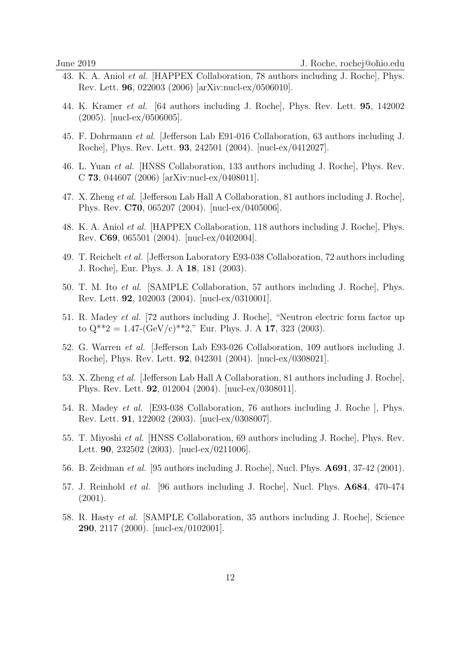- 43. K. A. Aniol et al. [HAPPEX Collaboration, 78 authors including J. Roche], Phys. Rev. Lett. 96, 022003 (2006) [arXiv:nucl-ex/0506010].
- 44. K. Kramer et al. [64 authors including J. Roche], Phys. Rev. Lett. 95, 142002 (2005). [nucl-ex/0506005].
- 45. F. Dohrmann et al. [Jefferson Lab E91-016 Collaboration, 63 authors including J. Roche], Phys. Rev. Lett. 93, 242501 (2004). [nucl-ex/0412027].
- 46. L. Yuan et al. [HNSS Collaboration, 133 authors including J. Roche], Phys. Rev. C 73, 044607 (2006) [arXiv:nucl-ex/0408011].
- 47. X. Zheng et al. [Jefferson Lab Hall A Collaboration, 81 authors including J. Roche], Phys. Rev. C70, 065207 (2004). [nucl-ex/0405006].
- 48. K. A. Aniol et al. [HAPPEX Collaboration, 118 authors including J. Roche], Phys. Rev. C69, 065501 (2004). [nucl-ex/0402004].
- 49. T. Reichelt et al. [Jefferson Laboratory E93-038 Collaboration, 72 authors including J. Roche], Eur. Phys. J. A 18, 181 (2003).
- 50. T. M. Ito et al. [SAMPLE Collaboration, 57 authors including J. Roche], Phys. Rev. Lett. 92, 102003 (2004). [nucl-ex/0310001].
- 51. R. Madey et al. [72 authors including J. Roche], "Neutron electric form factor up to  $Q^{**}2 = 1.47-(GeV/c)*2$ ," Eur. Phys. J. A 17, 323 (2003).
- 52. G. Warren et al. [Jefferson Lab E93-026 Collaboration, 109 authors including J. Roche], Phys. Rev. Lett. 92, 042301 (2004). [nucl-ex/0308021].
- 53. X. Zheng et al. [Jefferson Lab Hall A Collaboration, 81 authors including J. Roche], Phys. Rev. Lett. 92, 012004 (2004). [nucl-ex/0308011].
- 54. R. Madey et al. [E93-038 Collaboration, 76 authors including J. Roche ], Phys. Rev. Lett. 91, 122002 (2003). [nucl-ex/0308007].
- 55. T. Miyoshi et al. [HNSS Collaboration, 69 authors including J. Roche], Phys. Rev. Lett. 90, 232502 (2003). [nucl-ex/0211006].
- 56. B. Zeidman et al. [95 authors including J. Roche], Nucl. Phys. A691, 37-42 (2001).
- 57. J. Reinhold et al. [96 authors including J. Roche], Nucl. Phys. A684, 470-474 (2001).
- 58. R. Hasty et al. [SAMPLE Collaboration, 35 authors including J. Roche], Science 290, 2117 (2000). [nucl-ex/0102001].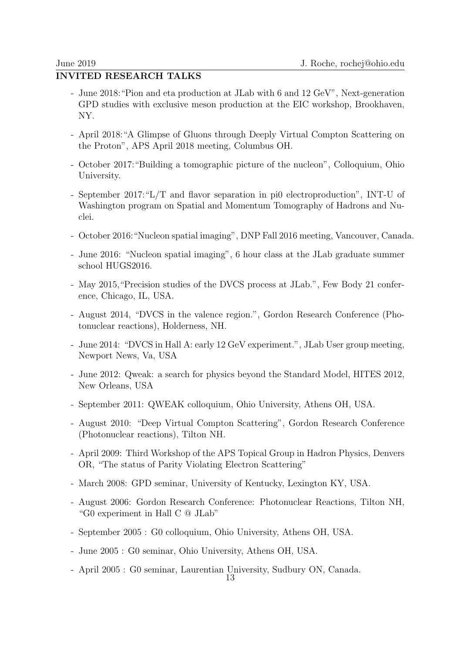# INVITED RESEARCH TALKS

- June 2018:"Pion and eta production at JLab with 6 and 12 GeV", Next-generation GPD studies with exclusive meson production at the EIC workshop, Brookhaven, NY.
- April 2018:"A Glimpse of Gluons through Deeply Virtual Compton Scattering on the Proton", APS April 2018 meeting, Columbus OH.
- October 2017:"Building a tomographic picture of the nucleon", Colloquium, Ohio University.
- September 2017:"L/T and flavor separation in pi0 electroproduction", INT-U of Washington program on Spatial and Momentum Tomography of Hadrons and Nuclei.
- October 2016:"Nucleon spatial imaging", DNP Fall 2016 meeting, Vancouver, Canada.
- June 2016: "Nucleon spatial imaging", 6 hour class at the JLab graduate summer school HUGS2016.
- May 2015,"Precision studies of the DVCS process at JLab.", Few Body 21 conference, Chicago, IL, USA.
- August 2014, "DVCS in the valence region.", Gordon Research Conference (Photonuclear reactions), Holderness, NH.
- June 2014: "DVCS in Hall A: early 12 GeV experiment.", JLab User group meeting, Newport News, Va, USA
- June 2012: Qweak: a search for physics beyond the Standard Model, HITES 2012, New Orleans, USA
- September 2011: QWEAK colloquium, Ohio University, Athens OH, USA.
- August 2010: "Deep Virtual Compton Scattering", Gordon Research Conference (Photonuclear reactions), Tilton NH.
- April 2009: Third Workshop of the APS Topical Group in Hadron Physics, Denvers OR, "The status of Parity Violating Electron Scattering"
- March 2008: GPD seminar, University of Kentucky, Lexington KY, USA.
- August 2006: Gordon Research Conference: Photonuclear Reactions, Tilton NH, "G0 experiment in Hall C @ JLab"
- September 2005 : G0 colloquium, Ohio University, Athens OH, USA.
- June 2005 : G0 seminar, Ohio University, Athens OH, USA.
- April 2005 : G0 seminar, Laurentian University, Sudbury ON, Canada.

13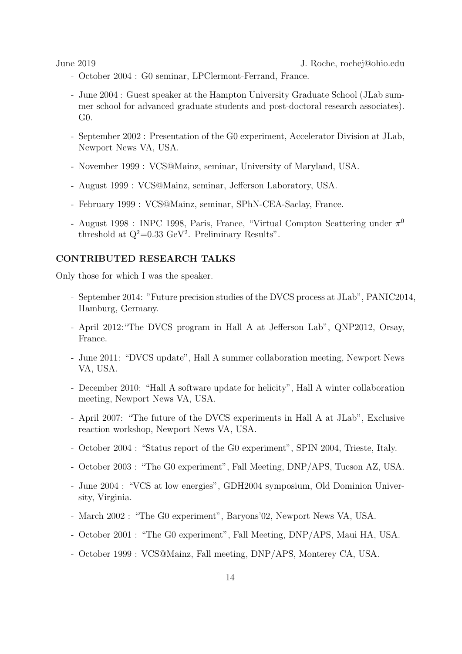- October 2004 : G0 seminar, LPClermont-Ferrand, France.
- June 2004 : Guest speaker at the Hampton University Graduate School (JLab summer school for advanced graduate students and post-doctoral research associates). G0.
- September 2002 : Presentation of the G0 experiment, Accelerator Division at JLab, Newport News VA, USA.
- November 1999 : VCS@Mainz, seminar, University of Maryland, USA.
- August 1999 : VCS@Mainz, seminar, Jefferson Laboratory, USA.
- February 1999 : VCS@Mainz, seminar, SPhN-CEA-Saclay, France.
- August 1998 : INPC 1998, Paris, France, "Virtual Compton Scattering under  $\pi^0$ threshold at  $Q^2=0.33$  GeV<sup>2</sup>. Preliminary Results".

### CONTRIBUTED RESEARCH TALKS

Only those for which I was the speaker.

- September 2014: "Future precision studies of the DVCS process at JLab", PANIC2014, Hamburg, Germany.
- April 2012:"The DVCS program in Hall A at Jefferson Lab", QNP2012, Orsay, France.
- June 2011: "DVCS update", Hall A summer collaboration meeting, Newport News VA, USA.
- December 2010: "Hall A software update for helicity", Hall A winter collaboration meeting, Newport News VA, USA.
- April 2007: "The future of the DVCS experiments in Hall A at JLab", Exclusive reaction workshop, Newport News VA, USA.
- October 2004 : "Status report of the G0 experiment", SPIN 2004, Trieste, Italy.
- October 2003 : "The G0 experiment", Fall Meeting, DNP/APS, Tucson AZ, USA.
- June 2004 : "VCS at low energies", GDH2004 symposium, Old Dominion University, Virginia.
- March 2002 : "The G0 experiment", Baryons'02, Newport News VA, USA.
- October 2001 : "The G0 experiment", Fall Meeting, DNP/APS, Maui HA, USA.
- October 1999 : VCS@Mainz, Fall meeting, DNP/APS, Monterey CA, USA.